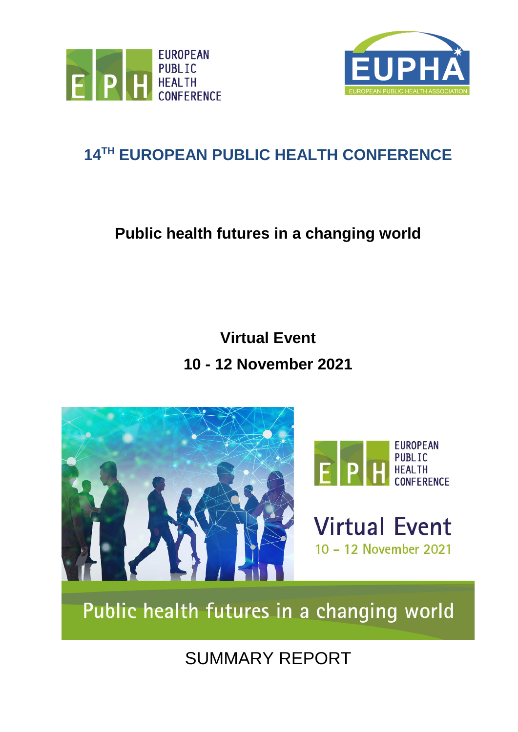



# **14 TH EUROPEAN PUBLIC HEALTH CONFERENCE**

# **Public health futures in a changing world**

# **Virtual Event 10 - 12 November 2021**





**Virtual Event** 10 - 12 November 2021

Public health futures in a changing world

SUMMARY REPORT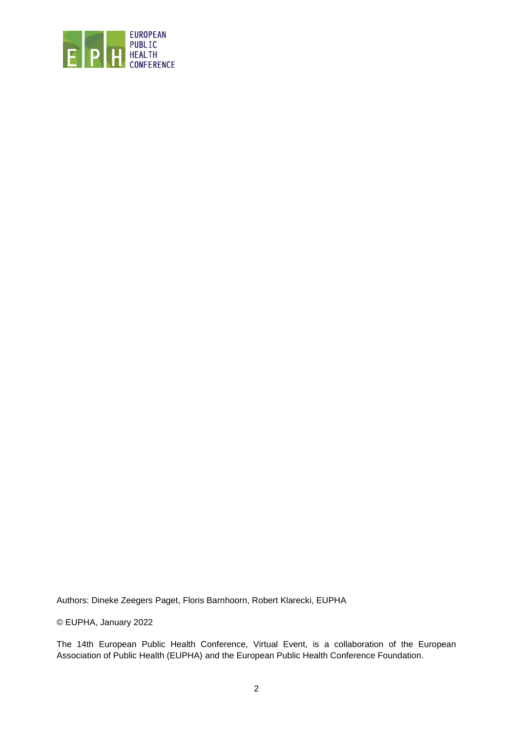

Authors: Dineke Zeegers Paget, Floris Barnhoorn, Robert Klarecki, EUPHA

© EUPHA, January 2022

The 14th European Public Health Conference, Virtual Event, is a collaboration of the European Association of Public Health (EUPHA) and the European Public Health Conference Foundation.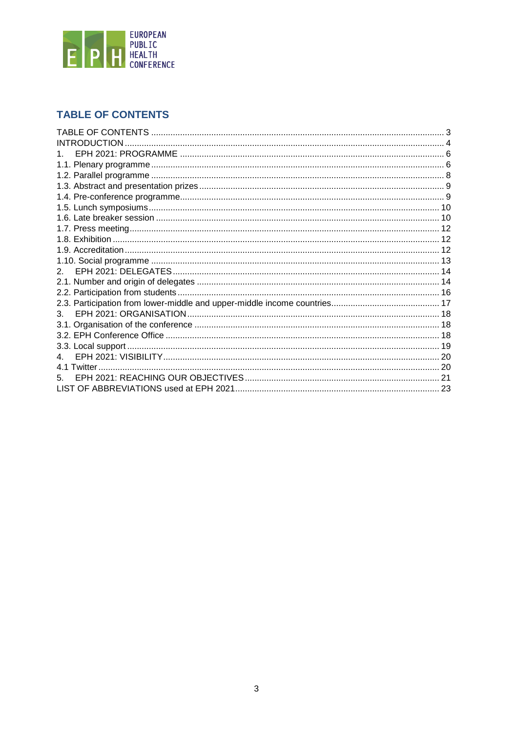

## <span id="page-2-0"></span>**TABLE OF CONTENTS**

| <b>INTRODUCTION</b> |  |
|---------------------|--|
|                     |  |
|                     |  |
|                     |  |
|                     |  |
|                     |  |
|                     |  |
|                     |  |
|                     |  |
|                     |  |
|                     |  |
|                     |  |
| 2 <sub>1</sub>      |  |
|                     |  |
|                     |  |
|                     |  |
| 3.                  |  |
|                     |  |
|                     |  |
|                     |  |
|                     |  |
| 41                  |  |
|                     |  |
|                     |  |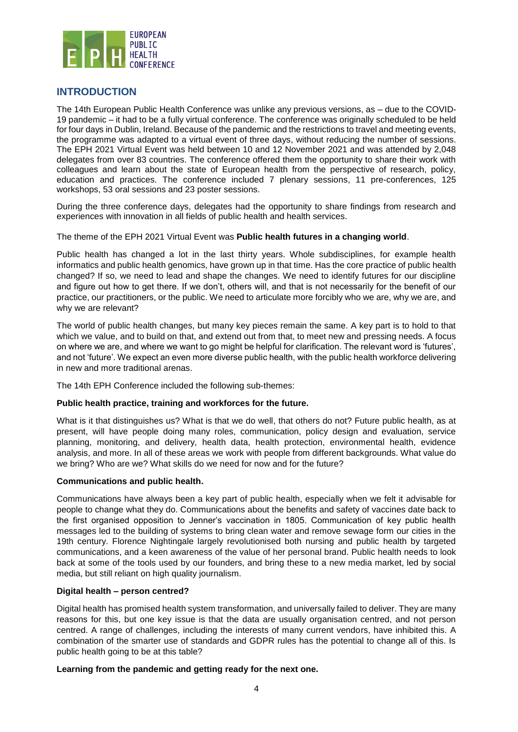

## <span id="page-3-0"></span>**INTRODUCTION**

The 14th European Public Health Conference was unlike any previous versions, as – due to the COVID-19 pandemic – it had to be a fully virtual conference. The conference was originally scheduled to be held for four days in Dublin, Ireland. Because of the pandemic and the restrictions to travel and meeting events, the programme was adapted to a virtual event of three days, without reducing the number of sessions. The EPH 2021 Virtual Event was held between 10 and 12 November 2021 and was attended by 2,048 delegates from over 83 countries. The conference offered them the opportunity to share their work with colleagues and learn about the state of European health from the perspective of research, policy, education and practices. The conference included 7 plenary sessions, 11 pre-conferences, 125 workshops, 53 oral sessions and 23 poster sessions.

During the three conference days, delegates had the opportunity to share findings from research and experiences with innovation in all fields of public health and health services.

The theme of the EPH 2021 Virtual Event was **Public health futures in a changing world**.

Public health has changed a lot in the last thirty years. Whole subdisciplines, for example health informatics and public health genomics, have grown up in that time. Has the core practice of public health changed? If so, we need to lead and shape the changes. We need to identify futures for our discipline and figure out how to get there. If we don't, others will, and that is not necessarily for the benefit of our practice, our practitioners, or the public. We need to articulate more forcibly who we are, why we are, and why we are relevant?

The world of public health changes, but many key pieces remain the same. A key part is to hold to that which we value, and to build on that, and extend out from that, to meet new and pressing needs. A focus on where we are, and where we want to go might be helpful for clarification. The relevant word is 'futures', and not 'future'. We expect an even more diverse public health, with the public health workforce delivering in new and more traditional arenas.

The 14th EPH Conference included the following sub-themes:

#### **Public health practice, training and workforces for the future.**

What is it that distinguishes us? What is that we do well, that others do not? Future public health, as at present, will have people doing many roles, communication, policy design and evaluation, service planning, monitoring, and delivery, health data, health protection, environmental health, evidence analysis, and more. In all of these areas we work with people from different backgrounds. What value do we bring? Who are we? What skills do we need for now and for the future?

#### **Communications and public health.**

Communications have always been a key part of public health, especially when we felt it advisable for people to change what they do. Communications about the benefits and safety of vaccines date back to the first organised opposition to Jenner's vaccination in 1805. Communication of key public health messages led to the building of systems to bring clean water and remove sewage form our cities in the 19th century. Florence Nightingale largely revolutionised both nursing and public health by targeted communications, and a keen awareness of the value of her personal brand. Public health needs to look back at some of the tools used by our founders, and bring these to a new media market, led by social media, but still reliant on high quality journalism.

#### **Digital health – person centred?**

Digital health has promised health system transformation, and universally failed to deliver. They are many reasons for this, but one key issue is that the data are usually organisation centred, and not person centred. A range of challenges, including the interests of many current vendors, have inhibited this. A combination of the smarter use of standards and GDPR rules has the potential to change all of this. Is public health going to be at this table?

#### **Learning from the pandemic and getting ready for the next one.**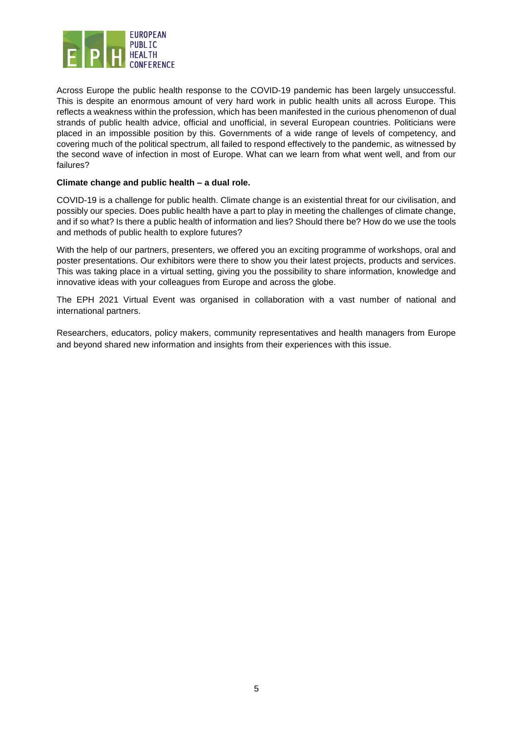

Across Europe the public health response to the COVID-19 pandemic has been largely unsuccessful. This is despite an enormous amount of very hard work in public health units all across Europe. This reflects a weakness within the profession, which has been manifested in the curious phenomenon of dual strands of public health advice, official and unofficial, in several European countries. Politicians were placed in an impossible position by this. Governments of a wide range of levels of competency, and covering much of the political spectrum, all failed to respond effectively to the pandemic, as witnessed by the second wave of infection in most of Europe. What can we learn from what went well, and from our failures?

#### **Climate change and public health – a dual role.**

COVID-19 is a challenge for public health. Climate change is an existential threat for our civilisation, and possibly our species. Does public health have a part to play in meeting the challenges of climate change, and if so what? Is there a public health of information and lies? Should there be? How do we use the tools and methods of public health to explore futures?

With the help of our partners, presenters, we offered you an exciting programme of workshops, oral and poster presentations. Our exhibitors were there to show you their latest projects, products and services. This was taking place in a virtual setting, giving you the possibility to share information, knowledge and innovative ideas with your colleagues from Europe and across the globe.

The EPH 2021 Virtual Event was organised in collaboration with a vast number of national and international partners.

Researchers, educators, policy makers, community representatives and health managers from Europe and beyond shared new information and insights from their experiences with this issue.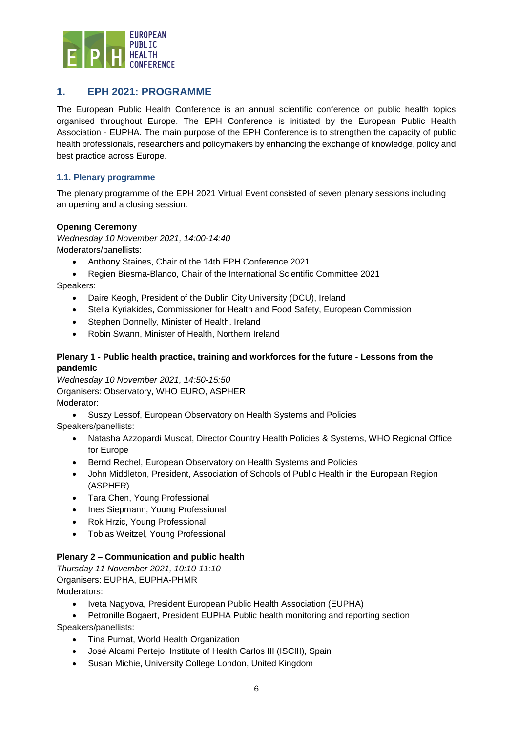

## <span id="page-5-0"></span>**1. EPH 2021: PROGRAMME**

The European Public Health Conference is an annual scientific conference on public health topics organised throughout Europe. The EPH Conference is initiated by the European Public Health Association - EUPHA. The main purpose of the EPH Conference is to strengthen the capacity of public health professionals, researchers and policymakers by enhancing the exchange of knowledge, policy and best practice across Europe.

#### <span id="page-5-1"></span>**1.1. Plenary programme**

The plenary programme of the EPH 2021 Virtual Event consisted of seven plenary sessions including an opening and a closing session.

#### **Opening Ceremony**

*Wednesday 10 November 2021, 14:00-14:40* Moderators/panellists:

- Anthony Staines, Chair of the 14th EPH Conference 2021
- Regien Biesma-Blanco, Chair of the International Scientific Committee 2021

Speakers:

- Daire Keogh, President of the Dublin City University (DCU), Ireland
- Stella Kyriakides, Commissioner for Health and Food Safety, European Commission
- Stephen Donnelly, Minister of Health, Ireland
- Robin Swann, Minister of Health, Northern Ireland

#### **Plenary 1 - Public health practice, training and workforces for the future - Lessons from the pandemic**

*Wednesday 10 November 2021, 14:50-15:50* Organisers: Observatory, WHO EURO, ASPHER Moderator:

• Suszy Lessof, European Observatory on Health Systems and Policies

Speakers/panellists:

- Natasha Azzopardi Muscat, Director Country Health Policies & Systems, WHO Regional Office for Europe
- Bernd Rechel, European Observatory on Health Systems and Policies
- John Middleton, President, Association of Schools of Public Health in the European Region (ASPHER)
- Tara Chen, Young Professional
- Ines Siepmann, Young Professional
- Rok Hrzic, Young Professional
- Tobias Weitzel, Young Professional

#### **Plenary 2 – Communication and public health**

*Thursday 11 November 2021, 10:10-11:10* Organisers: EUPHA, EUPHA-PHMR Moderators:

- Iveta Nagyova, President European Public Health Association (EUPHA)
- Petronille Bogaert, President EUPHA Public health monitoring and reporting section

Speakers/panellists:

- Tina Purnat, World Health Organization
- José Alcami Pertejo, Institute of Health Carlos III (ISCIII), Spain
- Susan Michie, University College London, United Kingdom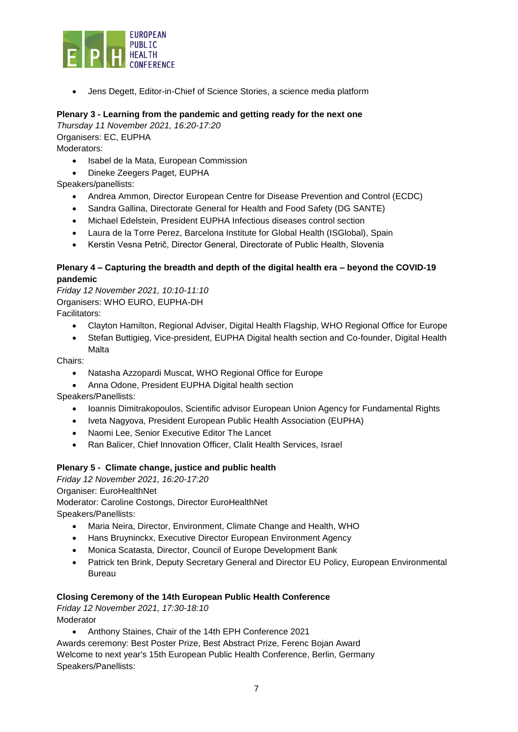

• Jens Degett, Editor-in-Chief of Science Stories, a science media platform

#### **Plenary 3 - Learning from the pandemic and getting ready for the next one**

*Thursday 11 November 2021, 16:20-17:20* Organisers: EC, EUPHA Moderators:

- Isabel de la Mata, European Commission
- Dineke Zeegers Paget, EUPHA

Speakers/panellists:

- Andrea Ammon, Director European Centre for Disease Prevention and Control (ECDC)
- Sandra Gallina, Directorate General for Health and Food Safety (DG SANTE)
- Michael Edelstein, President EUPHA Infectious diseases control section
- Laura de la Torre Perez, Barcelona Institute for Global Health (ISGlobal), Spain
- Kerstin Vesna Petrič, Director General, Directorate of Public Health, Slovenia

#### **Plenary 4 – Capturing the breadth and depth of the digital health era – beyond the COVID-19 pandemic**

*Friday 12 November 2021, 10:10-11:10* Organisers: WHO EURO, EUPHA-DH Facilitators:

- Clayton Hamilton, Regional Adviser, Digital Health Flagship, WHO Regional Office for Europe
- Stefan Buttigieg, Vice-president, EUPHA Digital health section and Co-founder, Digital Health Malta

Chairs:

- Natasha Azzopardi Muscat, WHO Regional Office for Europe
- Anna Odone, President EUPHA Digital health section

Speakers/Panellists:

- Ioannis Dimitrakopoulos, Scientific advisor European Union Agency for Fundamental Rights
- Iveta Nagyova, President European Public Health Association (EUPHA)
- Naomi Lee, Senior Executive Editor The Lancet
- Ran Balicer, Chief Innovation Officer, Clalit Health Services, Israel

#### **Plenary 5 - Climate change, justice and public health**

*Friday 12 November 2021, 16:20-17:20*

Organiser: EuroHealthNet

Moderator: Caroline Costongs, Director EuroHealthNet

Speakers/Panellists:

- Maria Neira, Director, Environment, Climate Change and Health, WHO
- Hans Bruyninckx, Executive Director European Environment Agency
- Monica Scatasta, Director, Council of Europe Development Bank
- Patrick ten Brink, Deputy Secretary General and Director EU Policy, European Environmental Bureau

#### **Closing Ceremony of the 14th European Public Health Conference**

*Friday 12 November 2021, 17:30-18:10* Moderator

• Anthony Staines, Chair of the 14th EPH Conference 2021

Awards ceremony: Best Poster Prize, Best Abstract Prize, Ferenc Bojan Award Welcome to next year's 15th European Public Health Conference, Berlin, Germany Speakers/Panellists: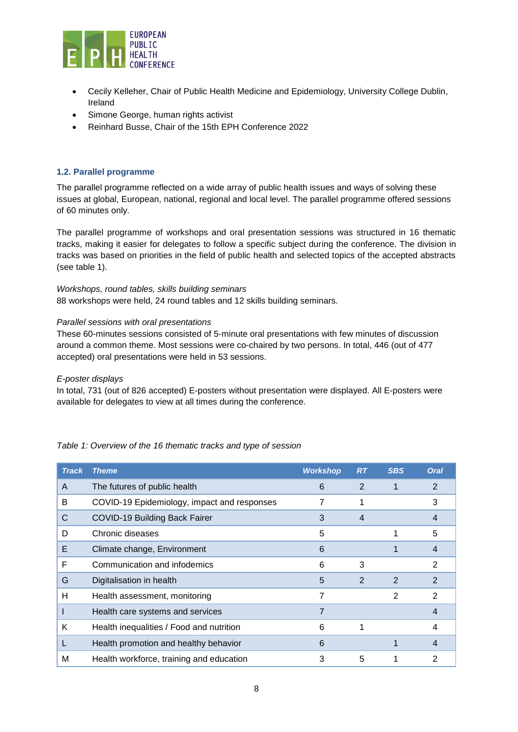

- Cecily Kelleher, Chair of Public Health Medicine and Epidemiology, University College Dublin, Ireland
- Simone George, human rights activist
- Reinhard Busse, Chair of the 15th EPH Conference 2022

#### <span id="page-7-0"></span>**1.2. Parallel programme**

The parallel programme reflected on a wide array of public health issues and ways of solving these issues at global, European, national, regional and local level. The parallel programme offered sessions of 60 minutes only.

The parallel programme of workshops and oral presentation sessions was structured in 16 thematic tracks, making it easier for delegates to follow a specific subject during the conference. The division in tracks was based on priorities in the field of public health and selected topics of the accepted abstracts (see table 1).

#### *Workshops, round tables, skills building seminars*

88 workshops were held, 24 round tables and 12 skills building seminars.

#### *Parallel sessions with oral presentations*

These 60-minutes sessions consisted of 5-minute oral presentations with few minutes of discussion around a common theme. Most sessions were co-chaired by two persons. In total, 446 (out of 477 accepted) oral presentations were held in 53 sessions.

#### *E-poster displays*

In total, 731 (out of 826 accepted) E-posters without presentation were displayed. All E-posters were available for delegates to view at all times during the conference.

| <b>Track</b> | <b>Theme</b>                                | <b>Workshop</b> | R <sub>T</sub> | <b>SBS</b>     | <b>Oral</b>    |
|--------------|---------------------------------------------|-----------------|----------------|----------------|----------------|
| A            | The futures of public health                | 6               | 2              |                | $\overline{2}$ |
| B            | COVID-19 Epidemiology, impact and responses | 7               |                |                | 3              |
| С            | <b>COVID-19 Building Back Fairer</b>        | 3               | $\overline{4}$ |                | 4              |
| D            | Chronic diseases                            | 5               |                |                | 5              |
| E            | Climate change, Environment                 | 6               |                |                | $\overline{4}$ |
| F            | Communication and infodemics                | 6               | 3              |                | 2              |
| G            | Digitalisation in health                    | 5               | 2              | $\overline{2}$ | 2              |
| н            | Health assessment, monitoring               | 7               |                | 2              | 2              |
|              | Health care systems and services            | $\overline{7}$  |                |                | 4              |
| Κ            | Health inequalities / Food and nutrition    | 6               |                |                | 4              |
|              | Health promotion and healthy behavior       | 6               |                |                | 4              |
| М            | Health workforce, training and education    | 3               | 5              |                | 2              |

#### *Table 1: Overview of the 16 thematic tracks and type of session*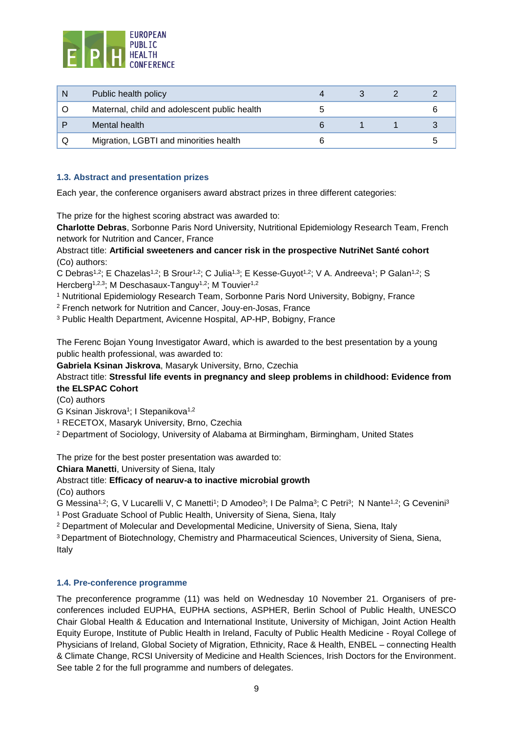

| Public health policy                         |  |  |
|----------------------------------------------|--|--|
| Maternal, child and adolescent public health |  |  |
| Mental health                                |  |  |
| Migration, LGBTI and minorities health       |  |  |

#### <span id="page-8-0"></span>**1.3. Abstract and presentation prizes**

Each year, the conference organisers award abstract prizes in three different categories:

The prize for the highest scoring abstract was awarded to:

**Charlotte Debras**, Sorbonne Paris Nord University, Nutritional Epidemiology Research Team, French network for Nutrition and Cancer, France

Abstract title: **Artificial sweeteners and cancer risk in the prospective NutriNet Santé cohort** (Co) authors:

C Debras<sup>1,2</sup>; E Chazelas<sup>1,2</sup>; B Srour<sup>1,2</sup>; C Julia<sup>1,3</sup>; E Kesse-Guyot<sup>1,2</sup>; V A. Andreeva<sup>1</sup>; P Galan<sup>1,2</sup>; S Hercberg<sup>1,2,3</sup>; M Deschasaux-Tanguy<sup>1,2</sup>; M Touvier<sup>1,2</sup>

<sup>1</sup> Nutritional Epidemiology Research Team, Sorbonne Paris Nord University, Bobigny, France

<sup>2</sup> French network for Nutrition and Cancer, Jouy-en-Josas, France

<sup>3</sup> Public Health Department, Avicenne Hospital, AP-HP, Bobigny, France

The Ferenc Bojan Young Investigator Award, which is awarded to the best presentation by a young public health professional, was awarded to:

**Gabriela Ksinan Jiskrova**, Masaryk University, Brno, Czechia

#### Abstract title: **Stressful life events in pregnancy and sleep problems in childhood: Evidence from the ELSPAC Cohort**

(Co) authors

G Ksinan Jiskrova<sup>1</sup>; I Stepanikova<sup>1,2</sup>

<sup>1</sup> RECETOX, Masaryk University, Brno, Czechia

<sup>2</sup> Department of Sociology, University of Alabama at Birmingham, Birmingham, United States

The prize for the best poster presentation was awarded to:

**Chiara Manetti**, University of Siena, Italy

Abstract title: **Efficacy of nearuv-a to inactive microbial growth**

(Co) authors

G Messina<sup>1,2</sup>; G, V Lucarelli V, C Manetti<sup>1</sup>; D Amodeo<sup>3</sup>; I De Palma<sup>3</sup>; C Petri<sup>3</sup>; N Nante<sup>1,2</sup>; G Cevenini<sup>3</sup> <sup>1</sup> Post Graduate School of Public Health, University of Siena, Siena, Italy

<sup>2</sup> Department of Molecular and Developmental Medicine, University of Siena, Siena, Italy

<sup>3</sup>Department of Biotechnology, Chemistry and Pharmaceutical Sciences, University of Siena, Siena, Italy

#### <span id="page-8-1"></span>**1.4. Pre-conference programme**

The preconference programme (11) was held on Wednesday 10 November 21. Organisers of preconferences included EUPHA, EUPHA sections, ASPHER, Berlin School of Public Health, UNESCO Chair Global Health & Education and International Institute, University of Michigan, Joint Action Health Equity Europe, Institute of Public Health in Ireland, Faculty of Public Health Medicine - Royal College of Physicians of Ireland, Global Society of Migration, Ethnicity, Race & Health, ENBEL – connecting Health & Climate Change, RCSI University of Medicine and Health Sciences, Irish Doctors for the Environment. See table 2 for the full programme and numbers of delegates.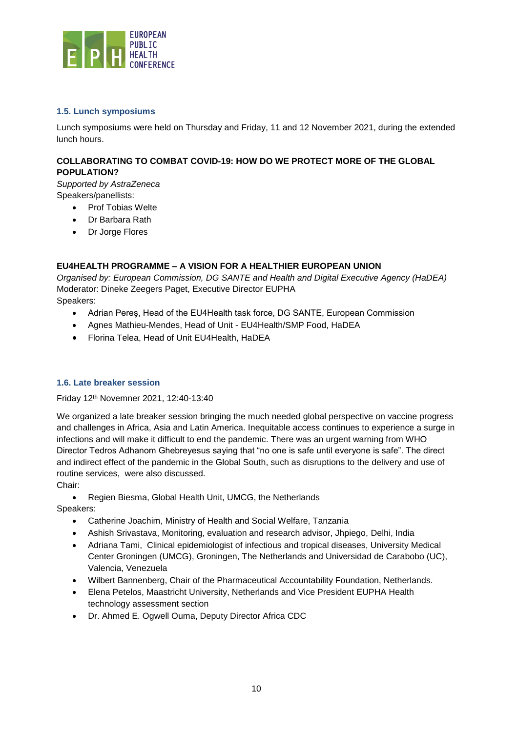

#### <span id="page-9-0"></span>**1.5. Lunch symposiums**

Lunch symposiums were held on Thursday and Friday, 11 and 12 November 2021, during the extended lunch hours.

#### **COLLABORATING TO COMBAT COVID-19: HOW DO WE PROTECT MORE OF THE GLOBAL POPULATION?**

*Supported by AstraZeneca* Speakers/panellists:

- Prof Tobias Welte
- Dr Barbara Rath
- Dr Jorge Flores

#### **EU4HEALTH PROGRAMME – A VISION FOR A HEALTHIER EUROPEAN UNION**

*Organised by: European Commission, DG SANTE and Health and Digital Executive Agency (HaDEA)* Moderator: Dineke Zeegers Paget, Executive Director EUPHA Speakers:

- Adrian Pereş, Head of the EU4Health task force, DG SANTE, European Commission
- Agnes Mathieu-Mendes, Head of Unit EU4Health/SMP Food, HaDEA
- Florina Telea, Head of Unit EU4Health, HaDEA

#### <span id="page-9-1"></span>**1.6. Late breaker session**

#### Friday 12th Novemner 2021, 12:40-13:40

We organized a late breaker session bringing the much needed global perspective on vaccine progress and challenges in Africa, Asia and Latin America. Inequitable access continues to experience a surge in infections and will make it difficult to end the pandemic. There was an urgent warning from WHO Director Tedros Adhanom Ghebreyesus saying that "no one is safe until everyone is safe". The direct and indirect effect of the pandemic in the Global South, such as disruptions to the delivery and use of routine services, were also discussed.

Chair:

• Regien Biesma, Global Health Unit, UMCG, the Netherlands

Speakers:

- Catherine Joachim, Ministry of Health and Social Welfare, Tanzania
- Ashish Srivastava, Monitoring, evaluation and research advisor, Jhpiego, Delhi, India
- Adriana Tami, Clinical epidemiologist of infectious and tropical diseases, University Medical Center Groningen (UMCG), Groningen, The Netherlands and Universidad de Carabobo (UC), Valencia, Venezuela
- Wilbert Bannenberg, Chair of the Pharmaceutical Accountability Foundation, Netherlands.
- Elena Petelos, Maastricht University, Netherlands and Vice President EUPHA Health technology assessment section
- Dr. Ahmed E. Ogwell Ouma, Deputy Director Africa CDC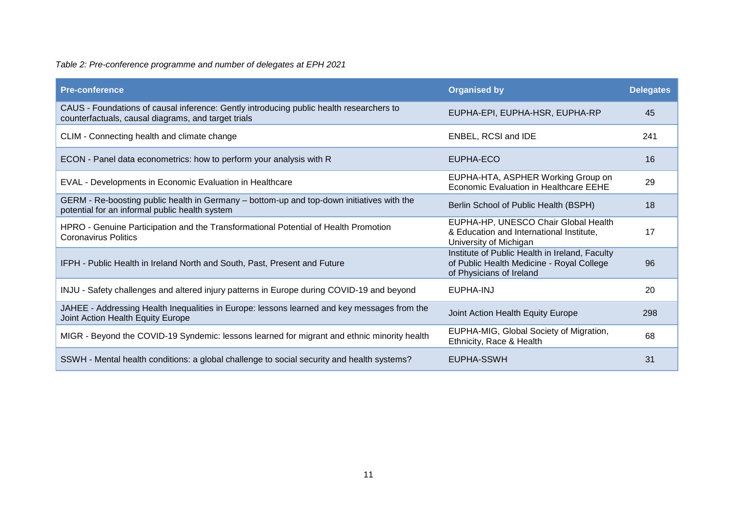## *Table 2: Pre-conference programme and number of delegates at EPH 2021*

| <b>Pre-conference</b>                                                                                                                          | <b>Organised by</b>                                                                                                     | <b>Delegates</b> |
|------------------------------------------------------------------------------------------------------------------------------------------------|-------------------------------------------------------------------------------------------------------------------------|------------------|
| CAUS - Foundations of causal inference: Gently introducing public health researchers to<br>counterfactuals, causal diagrams, and target trials | EUPHA-EPI, EUPHA-HSR, EUPHA-RP                                                                                          | 45               |
| CLIM - Connecting health and climate change                                                                                                    | ENBEL, RCSI and IDE                                                                                                     | 241              |
| ECON - Panel data econometrics: how to perform your analysis with R                                                                            | EUPHA-ECO                                                                                                               | 16               |
| EVAL - Developments in Economic Evaluation in Healthcare                                                                                       | EUPHA-HTA, ASPHER Working Group on<br>Economic Evaluation in Healthcare EEHE                                            | 29               |
| GERM - Re-boosting public health in Germany – bottom-up and top-down initiatives with the<br>potential for an informal public health system    | Berlin School of Public Health (BSPH)                                                                                   | 18               |
| HPRO - Genuine Participation and the Transformational Potential of Health Promotion<br><b>Coronavirus Politics</b>                             | EUPHA-HP, UNESCO Chair Global Health<br>& Education and International Institute,<br>University of Michigan              | 17               |
| IFPH - Public Health in Ireland North and South, Past, Present and Future                                                                      | Institute of Public Health in Ireland, Faculty<br>of Public Health Medicine - Royal College<br>of Physicians of Ireland | 96               |
| INJU - Safety challenges and altered injury patterns in Europe during COVID-19 and beyond                                                      | EUPHA-INJ                                                                                                               | 20               |
| JAHEE - Addressing Health Inequalities in Europe: lessons learned and key messages from the<br>Joint Action Health Equity Europe               | Joint Action Health Equity Europe                                                                                       | 298              |
| MIGR - Beyond the COVID-19 Syndemic: lessons learned for migrant and ethnic minority health                                                    | EUPHA-MIG, Global Society of Migration,<br>Ethnicity, Race & Health                                                     | 68               |
| SSWH - Mental health conditions: a global challenge to social security and health systems?                                                     | EUPHA-SSWH                                                                                                              | 31               |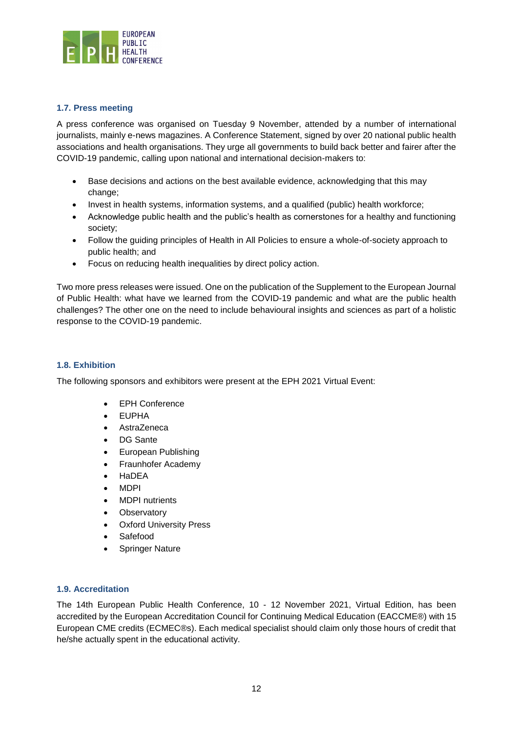

#### <span id="page-11-0"></span>**1.7. Press meeting**

A press conference was organised on Tuesday 9 November, attended by a number of international journalists, mainly e-news magazines. A Conference Statement, signed by over 20 national public health associations and health organisations. They urge all governments to build back better and fairer after the COVID-19 pandemic, calling upon national and international decision-makers to:

- Base decisions and actions on the best available evidence, acknowledging that this may change;
- Invest in health systems, information systems, and a qualified (public) health workforce;
- Acknowledge public health and the public's health as cornerstones for a healthy and functioning society;
- Follow the guiding principles of Health in All Policies to ensure a whole-of-society approach to public health; and
- Focus on reducing health inequalities by direct policy action.

Two more press releases were issued. One on the publication of the Supplement to the European Journal of Public Health: what have we learned from the COVID-19 pandemic and what are the public health challenges? The other one on the need to include behavioural insights and sciences as part of a holistic response to the COVID-19 pandemic.

#### <span id="page-11-1"></span>**1.8. Exhibition**

The following sponsors and exhibitors were present at the EPH 2021 Virtual Event:

- EPH Conference
- EUPHA
- AstraZeneca
- DG Sante
- European Publishing
- Fraunhofer Academy
- HaDEA
- MDPI
- MDPI nutrients
- Observatory
- **Oxford University Press**
- Safefood
- Springer Nature

#### <span id="page-11-2"></span>**1.9. Accreditation**

The 14th European Public Health Conference, 10 - 12 November 2021, Virtual Edition, has been accredited by the European Accreditation Council for Continuing Medical Education (EACCME®) with 15 European CME credits (ECMEC®s). Each medical specialist should claim only those hours of credit that he/she actually spent in the educational activity.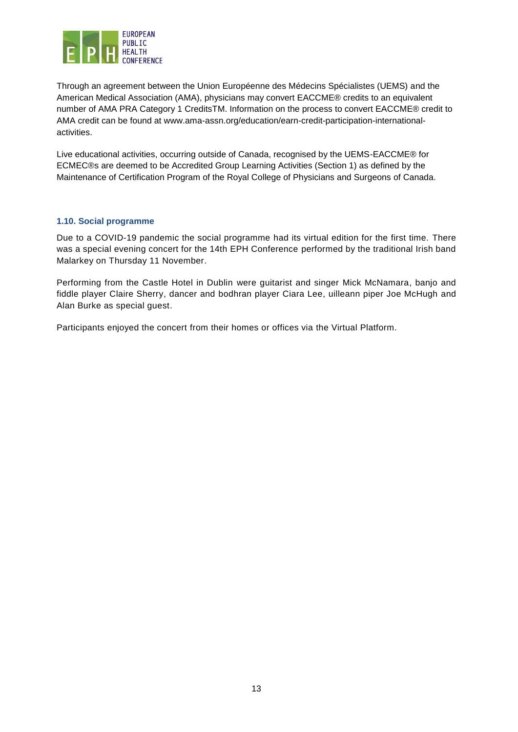

Through an agreement between the Union Européenne des Médecins Spécialistes (UEMS) and the American Medical Association (AMA), physicians may convert EACCME® credits to an equivalent number of AMA PRA Category 1 CreditsTM. Information on the process to convert EACCME® credit to AMA credit can be found at www.ama-assn.org/education/earn-credit-participation-internationalactivities.

Live educational activities, occurring outside of Canada, recognised by the UEMS-EACCME® for ECMEC®s are deemed to be Accredited Group Learning Activities (Section 1) as defined by the Maintenance of Certification Program of the Royal College of Physicians and Surgeons of Canada.

#### <span id="page-12-0"></span>**1.10. Social programme**

Due to a COVID-19 pandemic the social programme had its virtual edition for the first time. There was a special evening concert for the 14th EPH Conference performed by the traditional Irish band Malarkey on Thursday 11 November.

Performing from the Castle Hotel in Dublin were guitarist and singer Mick McNamara, banjo and fiddle player Claire Sherry, dancer and bodhran player Ciara Lee, uilleann piper Joe McHugh and Alan Burke as special guest.

Participants enjoyed the concert from their homes or offices via the Virtual Platform.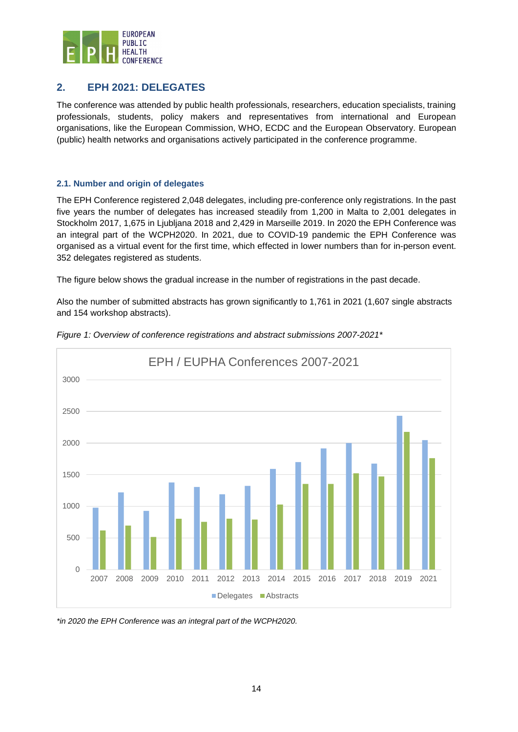

## <span id="page-13-0"></span>**2. EPH 2021: DELEGATES**

The conference was attended by public health professionals, researchers, education specialists, training professionals, students, policy makers and representatives from international and European organisations, like the European Commission, WHO, ECDC and the European Observatory. European (public) health networks and organisations actively participated in the conference programme.

#### <span id="page-13-1"></span>**2.1. Number and origin of delegates**

The EPH Conference registered 2,048 delegates, including pre-conference only registrations. In the past five years the number of delegates has increased steadily from 1,200 in Malta to 2,001 delegates in Stockholm 2017, 1,675 in Ljubljana 2018 and 2,429 in Marseille 2019. In 2020 the EPH Conference was an integral part of the WCPH2020. In 2021, due to COVID-19 pandemic the EPH Conference was organised as a virtual event for the first time, which effected in lower numbers than for in-person event. 352 delegates registered as students.

The figure below shows the gradual increase in the number of registrations in the past decade.

Also the number of submitted abstracts has grown significantly to 1,761 in 2021 (1,607 single abstracts and 154 workshop abstracts).



*Figure 1: Overview of conference registrations and abstract submissions 2007-2021\**

*\*in 2020 the EPH Conference was an integral part of the WCPH2020.*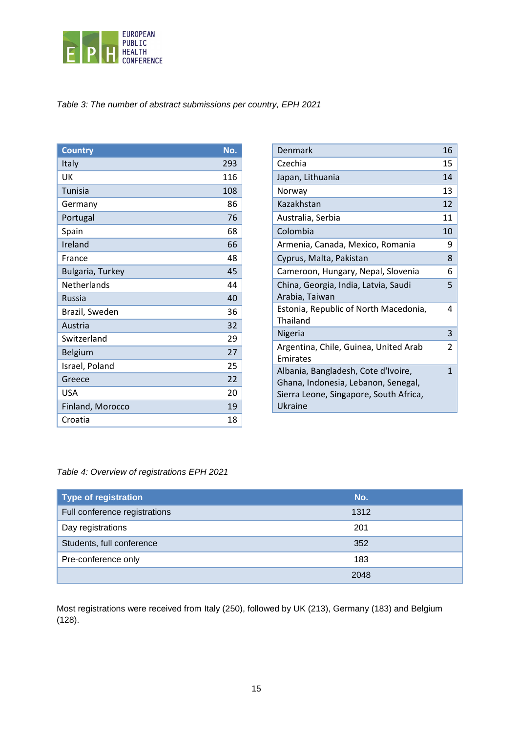

## *Table 3: The number of abstract submissions per country, EPH 2021*

| <b>Country</b>     | No. |
|--------------------|-----|
| Italy              | 293 |
| UK                 | 116 |
| Tunisia            | 108 |
| Germany            | 86  |
| Portugal           | 76  |
| Spain              | 68  |
| Ireland            | 66  |
| France             | 48  |
| Bulgaria, Turkey   | 45  |
| <b>Netherlands</b> | 44  |
| <b>Russia</b>      | 40  |
| Brazil, Sweden     | 36  |
| Austria            | 32  |
| Switzerland        | 29  |
| Belgium            | 27  |
| Israel, Poland     | 25  |
| Greece             | 22  |
| <b>USA</b>         | 20  |
| Finland, Morocco   | 19  |
| Croatia            | 18  |

| Denmark                                                                                                                         | 16 |
|---------------------------------------------------------------------------------------------------------------------------------|----|
| Czechia                                                                                                                         | 15 |
| Japan, Lithuania                                                                                                                | 14 |
| Norway                                                                                                                          | 13 |
| Kazakhstan                                                                                                                      | 12 |
| Australia, Serbia                                                                                                               | 11 |
| Colombia                                                                                                                        | 10 |
| Armenia, Canada, Mexico, Romania                                                                                                | 9  |
| Cyprus, Malta, Pakistan                                                                                                         | 8  |
| Cameroon, Hungary, Nepal, Slovenia                                                                                              | 6  |
| China, Georgia, India, Latvia, Saudi<br>Arabia, Taiwan                                                                          | 5  |
| Estonia, Republic of North Macedonia,<br>Thailand                                                                               | 4  |
| Nigeria                                                                                                                         | 3  |
| Argentina, Chile, Guinea, United Arab<br>Emirates                                                                               | 2  |
| Albania, Bangladesh, Cote d'Ivoire,<br>Ghana, Indonesia, Lebanon, Senegal,<br>Sierra Leone, Singapore, South Africa,<br>Ukraine | 1  |

#### *Table 4: Overview of registrations EPH 2021*

| <b>Type of registration</b>   | No.  |
|-------------------------------|------|
| Full conference registrations | 1312 |
| Day registrations             | 201  |
| Students, full conference     | 352  |
| Pre-conference only           | 183  |
|                               | 2048 |

Most registrations were received from Italy (250), followed by UK (213), Germany (183) and Belgium (128).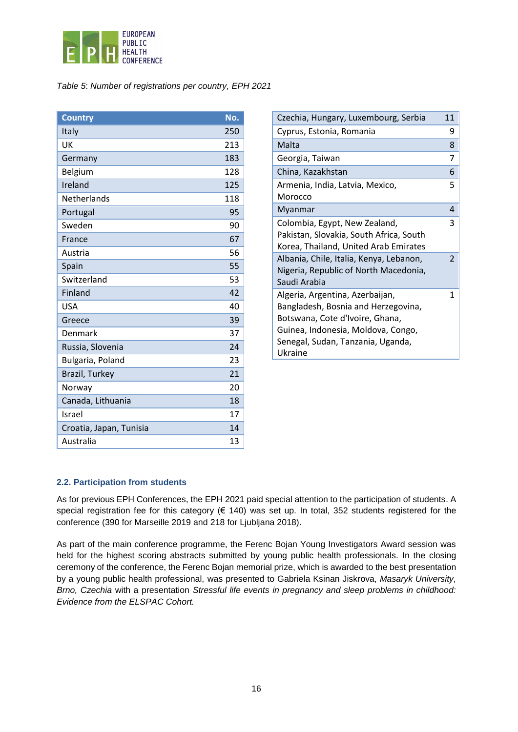

#### *Table 5*: *Number of registrations per country, EPH 2021*

| <b>Country</b>          | No. |
|-------------------------|-----|
| Italy                   | 250 |
| UK                      | 213 |
| Germany                 | 183 |
| Belgium                 | 128 |
| Ireland                 | 125 |
| <b>Netherlands</b>      | 118 |
| Portugal                | 95  |
| Sweden                  | 90  |
| France                  | 67  |
| Austria                 | 56  |
| Spain                   | 55  |
| Switzerland             | 53  |
| Finland                 | 42  |
| <b>USA</b>              | 40  |
| Greece                  | 39  |
| Denmark                 | 37  |
| Russia, Slovenia        | 24  |
| Bulgaria, Poland        | 23  |
| Brazil, Turkey          | 21  |
| Norway                  | 20  |
| Canada, Lithuania       | 18  |
| Israel                  | 17  |
| Croatia, Japan, Tunisia | 14  |
| Australia               | 13  |

| Czechia, Hungary, Luxembourg, Serbia    | 11            |
|-----------------------------------------|---------------|
| Cyprus, Estonia, Romania                | 9             |
| Malta                                   | 8             |
| Georgia, Taiwan                         | 7             |
| China, Kazakhstan                       | 6             |
| Armenia, India, Latvia, Mexico,         | 5             |
| Morocco                                 |               |
| Myanmar                                 | 4             |
| Colombia, Egypt, New Zealand,           | 3             |
| Pakistan, Slovakia, South Africa, South |               |
| Korea, Thailand, United Arab Emirates   |               |
| Albania, Chile, Italia, Kenya, Lebanon, | $\mathcal{P}$ |
| Nigeria, Republic of North Macedonia,   |               |
| Saudi Arabia                            |               |
| Algeria, Argentina, Azerbaijan,         | 1             |
| Bangladesh, Bosnia and Herzegovina,     |               |
| Botswana, Cote d'Ivoire, Ghana,         |               |
| Guinea, Indonesia, Moldova, Congo,      |               |
| Senegal, Sudan, Tanzania, Uganda,       |               |
| Ukraine                                 |               |

#### <span id="page-15-0"></span>**2.2. Participation from students**

As for previous EPH Conferences, the EPH 2021 paid special attention to the participation of students. A special registration fee for this category (€ 140) was set up. In total, 352 students registered for the conference (390 for Marseille 2019 and 218 for Ljubljana 2018).

As part of the main conference programme, the Ferenc Bojan Young Investigators Award session was held for the highest scoring abstracts submitted by young public health professionals. In the closing ceremony of the conference, the Ferenc Bojan memorial prize, which is awarded to the best presentation by a young public health professional, was presented to Gabriela Ksinan Jiskrova, *Masaryk University, Brno, Czechia* with a presentation *Stressful life events in pregnancy and sleep problems in childhood: Evidence from the ELSPAC Cohort.*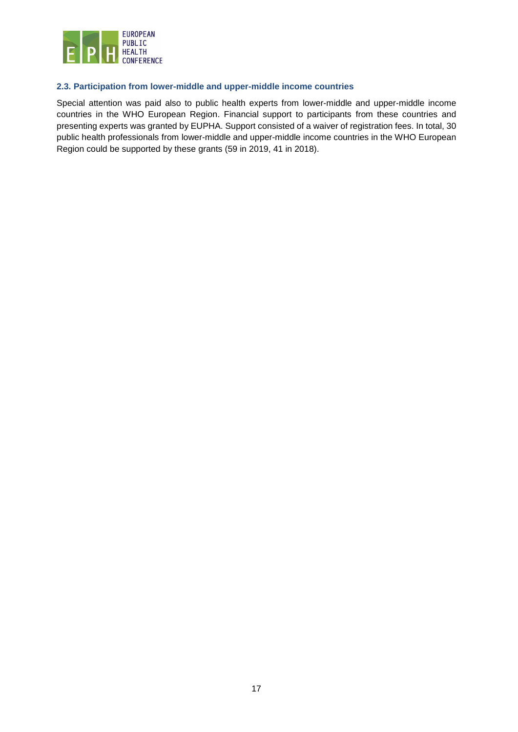

#### <span id="page-16-0"></span>**2.3. Participation from lower-middle and upper-middle income countries**

Special attention was paid also to public health experts from lower-middle and upper-middle income countries in the WHO European Region. Financial support to participants from these countries and presenting experts was granted by EUPHA. Support consisted of a waiver of registration fees. In total, 30 public health professionals from lower-middle and upper-middle income countries in the WHO European Region could be supported by these grants (59 in 2019, 41 in 2018).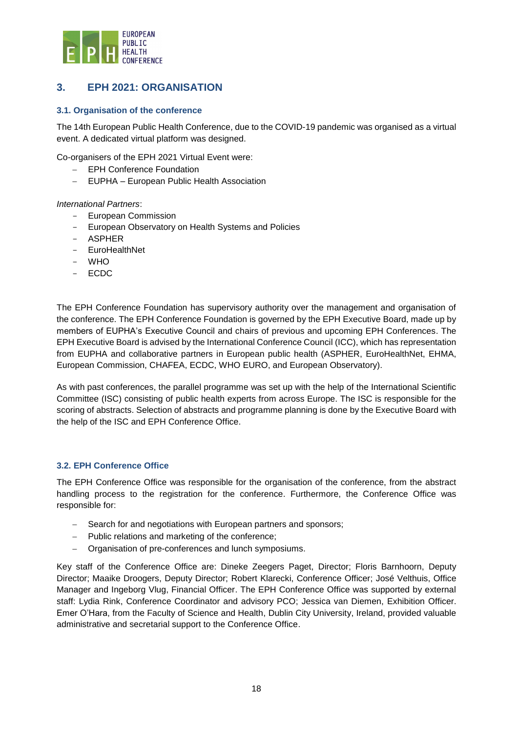

## <span id="page-17-0"></span>**3. EPH 2021: ORGANISATION**

#### <span id="page-17-1"></span>**3.1. Organisation of the conference**

The 14th European Public Health Conference, due to the COVID-19 pandemic was organised as a virtual event. A dedicated virtual platform was designed.

Co-organisers of the EPH 2021 Virtual Event were:

- EPH Conference Foundation
- − EUPHA European Public Health Association

*International Partners*:

- European Commission
- European Observatory on Health Systems and Policies
- ASPHER
- EuroHealthNet
- WHO
- ECDC

The EPH Conference Foundation has supervisory authority over the management and organisation of the conference. The EPH Conference Foundation is governed by the EPH Executive Board, made up by members of EUPHA's Executive Council and chairs of previous and upcoming EPH Conferences. The EPH Executive Board is advised by the International Conference Council (ICC), which has representation from EUPHA and collaborative partners in European public health (ASPHER, EuroHealthNet, EHMA, European Commission, CHAFEA, ECDC, WHO EURO, and European Observatory).

As with past conferences, the parallel programme was set up with the help of the International Scientific Committee (ISC) consisting of public health experts from across Europe. The ISC is responsible for the scoring of abstracts. Selection of abstracts and programme planning is done by the Executive Board with the help of the ISC and EPH Conference Office.

#### <span id="page-17-2"></span>**3.2. EPH Conference Office**

The EPH Conference Office was responsible for the organisation of the conference, from the abstract handling process to the registration for the conference. Furthermore, the Conference Office was responsible for:

- Search for and negotiations with European partners and sponsors;
- − Public relations and marketing of the conference;
- − Organisation of pre-conferences and lunch symposiums.

Key staff of the Conference Office are: Dineke Zeegers Paget, Director; Floris Barnhoorn, Deputy Director; Maaike Droogers, Deputy Director; Robert Klarecki, Conference Officer; José Velthuis, Office Manager and Ingeborg Vlug, Financial Officer. The EPH Conference Office was supported by external staff: Lydia Rink, Conference Coordinator and advisory PCO; Jessica van Diemen, Exhibition Officer. Emer O'Hara, from the Faculty of Science and Health, Dublin City University, Ireland, provided valuable administrative and secretarial support to the Conference Office.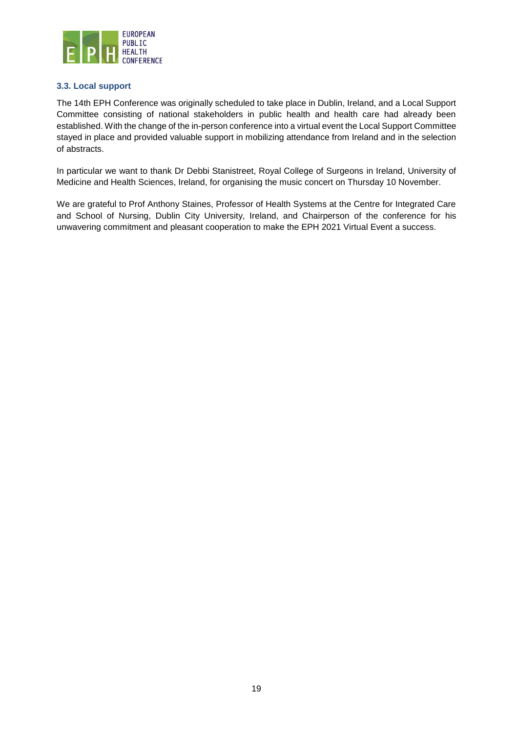

#### <span id="page-18-0"></span>**3.3. Local support**

The 14th EPH Conference was originally scheduled to take place in Dublin, Ireland, and a Local Support Committee consisting of national stakeholders in public health and health care had already been established. With the change of the in-person conference into a virtual event the Local Support Committee stayed in place and provided valuable support in mobilizing attendance from Ireland and in the selection of abstracts.

In particular we want to thank Dr Debbi Stanistreet, Royal College of Surgeons in Ireland, University of Medicine and Health Sciences, Ireland, for organising the music concert on Thursday 10 November.

We are grateful to Prof Anthony Staines, Professor of Health Systems at the Centre for Integrated Care and School of Nursing, Dublin City University, Ireland, and Chairperson of the conference for his unwavering commitment and pleasant cooperation to make the EPH 2021 Virtual Event a success.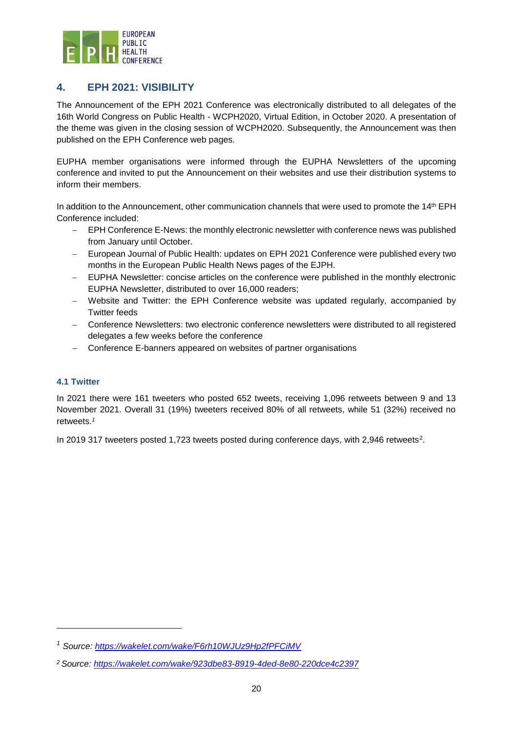

## <span id="page-19-0"></span>**4. EPH 2021: VISIBILITY**

The Announcement of the EPH 2021 Conference was electronically distributed to all delegates of the 16th World Congress on Public Health - WCPH2020, Virtual Edition, in October 2020. A presentation of the theme was given in the closing session of WCPH2020. Subsequently, the Announcement was then published on the EPH Conference web pages.

EUPHA member organisations were informed through the EUPHA Newsletters of the upcoming conference and invited to put the Announcement on their websites and use their distribution systems to inform their members.

In addition to the Announcement, other communication channels that were used to promote the 14<sup>th</sup> EPH Conference included:

- − EPH Conference E-News: the monthly electronic newsletter with conference news was published from January until October.
- European Journal of Public Health: updates on EPH 2021 Conference were published every two months in the European Public Health News pages of the EJPH.
- − EUPHA Newsletter: concise articles on the conference were published in the monthly electronic EUPHA Newsletter, distributed to over 16,000 readers;
- Website and Twitter: the EPH Conference website was updated regularly, accompanied by Twitter feeds
- − Conference Newsletters: two electronic conference newsletters were distributed to all registered delegates a few weeks before the conference
- Conference E-banners appeared on websites of partner organisations

#### <span id="page-19-1"></span>**4.1 Twitter**

 $\overline{a}$ 

In 2021 there were 161 tweeters who posted 652 tweets, receiving 1,096 retweets between 9 and 13 November 2021. Overall 31 (19%) tweeters received 80% of all retweets, while 51 (32%) received no retweets.*<sup>1</sup>*

In 2019 317 tweeters posted 1,723 tweets posted during conference days, with 2,946 retweets<sup>2</sup>.

*<sup>1</sup> Source:<https://wakelet.com/wake/F6rh10WJUz9Hp2fPFCiMV>*

*<sup>2</sup> Source:<https://wakelet.com/wake/923dbe83-8919-4ded-8e80-220dce4c2397>*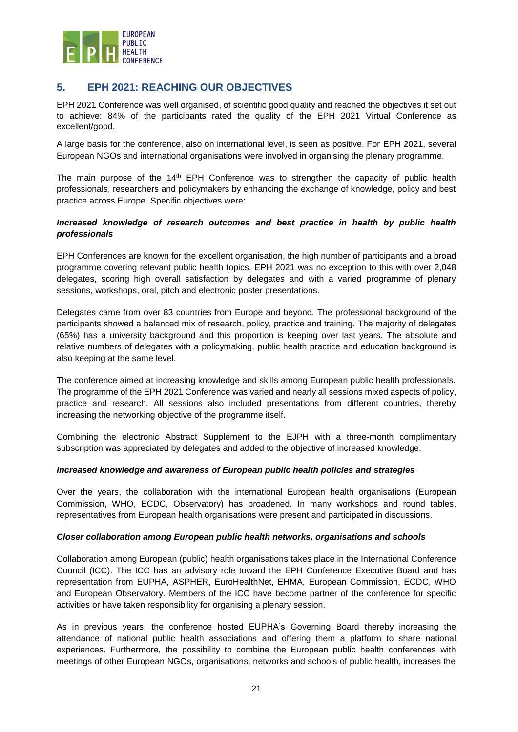

## <span id="page-20-0"></span>**5. EPH 2021: REACHING OUR OBJECTIVES**

EPH 2021 Conference was well organised, of scientific good quality and reached the objectives it set out to achieve: 84% of the participants rated the quality of the EPH 2021 Virtual Conference as excellent/good.

A large basis for the conference, also on international level, is seen as positive. For EPH 2021, several European NGOs and international organisations were involved in organising the plenary programme.

The main purpose of the 14<sup>th</sup> EPH Conference was to strengthen the capacity of public health professionals, researchers and policymakers by enhancing the exchange of knowledge, policy and best practice across Europe. Specific objectives were:

#### *Increased knowledge of research outcomes and best practice in health by public health professionals*

EPH Conferences are known for the excellent organisation, the high number of participants and a broad programme covering relevant public health topics. EPH 2021 was no exception to this with over 2,048 delegates, scoring high overall satisfaction by delegates and with a varied programme of plenary sessions, workshops, oral, pitch and electronic poster presentations.

Delegates came from over 83 countries from Europe and beyond. The professional background of the participants showed a balanced mix of research, policy, practice and training. The majority of delegates (65%) has a university background and this proportion is keeping over last years. The absolute and relative numbers of delegates with a policymaking, public health practice and education background is also keeping at the same level.

The conference aimed at increasing knowledge and skills among European public health professionals. The programme of the EPH 2021 Conference was varied and nearly all sessions mixed aspects of policy, practice and research. All sessions also included presentations from different countries, thereby increasing the networking objective of the programme itself.

Combining the electronic Abstract Supplement to the EJPH with a three-month complimentary subscription was appreciated by delegates and added to the objective of increased knowledge.

#### *Increased knowledge and awareness of European public health policies and strategies*

Over the years, the collaboration with the international European health organisations (European Commission, WHO, ECDC, Observatory) has broadened. In many workshops and round tables, representatives from European health organisations were present and participated in discussions.

#### *Closer collaboration among European public health networks, organisations and schools*

Collaboration among European (public) health organisations takes place in the International Conference Council (ICC). The ICC has an advisory role toward the EPH Conference Executive Board and has representation from EUPHA, ASPHER, EuroHealthNet, EHMA, European Commission, ECDC, WHO and European Observatory. Members of the ICC have become partner of the conference for specific activities or have taken responsibility for organising a plenary session.

As in previous years, the conference hosted EUPHA's Governing Board thereby increasing the attendance of national public health associations and offering them a platform to share national experiences. Furthermore, the possibility to combine the European public health conferences with meetings of other European NGOs, organisations, networks and schools of public health, increases the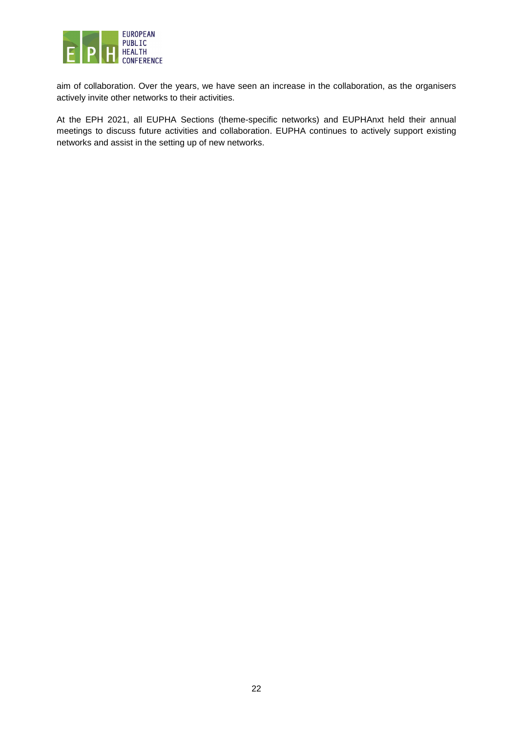

aim of collaboration. Over the years, we have seen an increase in the collaboration, as the organisers actively invite other networks to their activities.

At the EPH 2021, all EUPHA Sections (theme-specific networks) and EUPHAnxt held their annual meetings to discuss future activities and collaboration. EUPHA continues to actively support existing networks and assist in the setting up of new networks.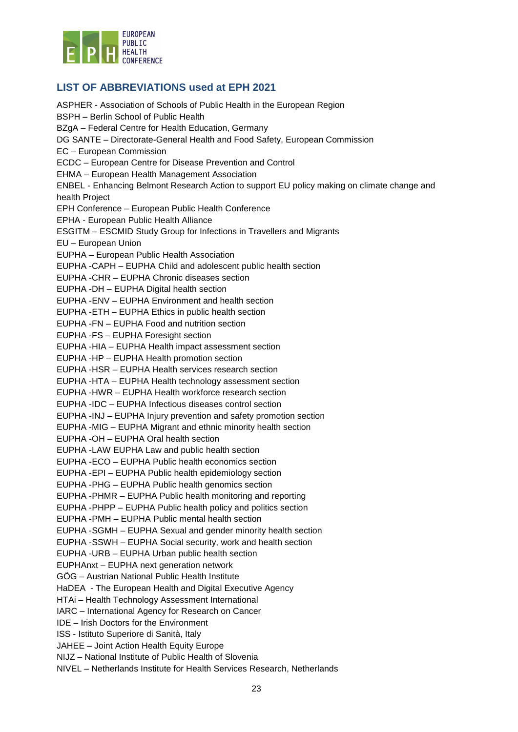

## <span id="page-22-0"></span>**LIST OF ABBREVIATIONS used at EPH 2021**

ASPHER - Association of Schools of Public Health in the European Region BSPH – Berlin School of Public Health BZgA – Federal Centre for Health Education, Germany DG SANTE – Directorate-General Health and Food Safety, European Commission EC – European Commission ECDC – European Centre for Disease Prevention and Control EHMA – European Health Management Association ENBEL - Enhancing Belmont Research Action to support EU policy making on climate change and health Project EPH Conference – European Public Health Conference EPHA - European Public Health Alliance ESGITM – ESCMID Study Group for Infections in Travellers and Migrants EU – European Union EUPHA – European Public Health Association EUPHA -CAPH – EUPHA Child and adolescent public health section EUPHA -CHR – EUPHA Chronic diseases section EUPHA -DH – EUPHA Digital health section EUPHA -ENV – EUPHA Environment and health section EUPHA -ETH – EUPHA Ethics in public health section EUPHA -FN – EUPHA Food and nutrition section EUPHA -FS – EUPHA Foresight section EUPHA -HIA – EUPHA Health impact assessment section EUPHA -HP – EUPHA Health promotion section EUPHA -HSR – EUPHA Health services research section EUPHA -HTA – EUPHA Health technology assessment section EUPHA -HWR – EUPHA Health workforce research section EUPHA -IDC – EUPHA Infectious diseases control section EUPHA -INJ – EUPHA Injury prevention and safety promotion section EUPHA -MIG – EUPHA Migrant and ethnic minority health section EUPHA -OH – EUPHA Oral health section EUPHA -LAW EUPHA Law and public health section EUPHA -ECO – EUPHA Public health economics section EUPHA -EPI – EUPHA Public health epidemiology section EUPHA -PHG – EUPHA Public health genomics section EUPHA -PHMR – EUPHA Public health monitoring and reporting EUPHA -PHPP – EUPHA Public health policy and politics section EUPHA -PMH – EUPHA Public mental health section EUPHA -SGMH – EUPHA Sexual and gender minority health section EUPHA -SSWH – EUPHA Social security, work and health section EUPHA -URB – EUPHA Urban public health section EUPHAnxt – EUPHA next generation network GÖG – Austrian National Public Health Institute HaDEA - The European Health and Digital Executive Agency HTAi – Health Technology Assessment International IARC – International Agency for Research on Cancer IDE – Irish Doctors for the Environment ISS - Istituto Superiore di Sanità, Italy JAHEE – Joint Action Health Equity Europe NIJZ – National Institute of Public Health of Slovenia NIVEL – Netherlands Institute for Health Services Research, Netherlands